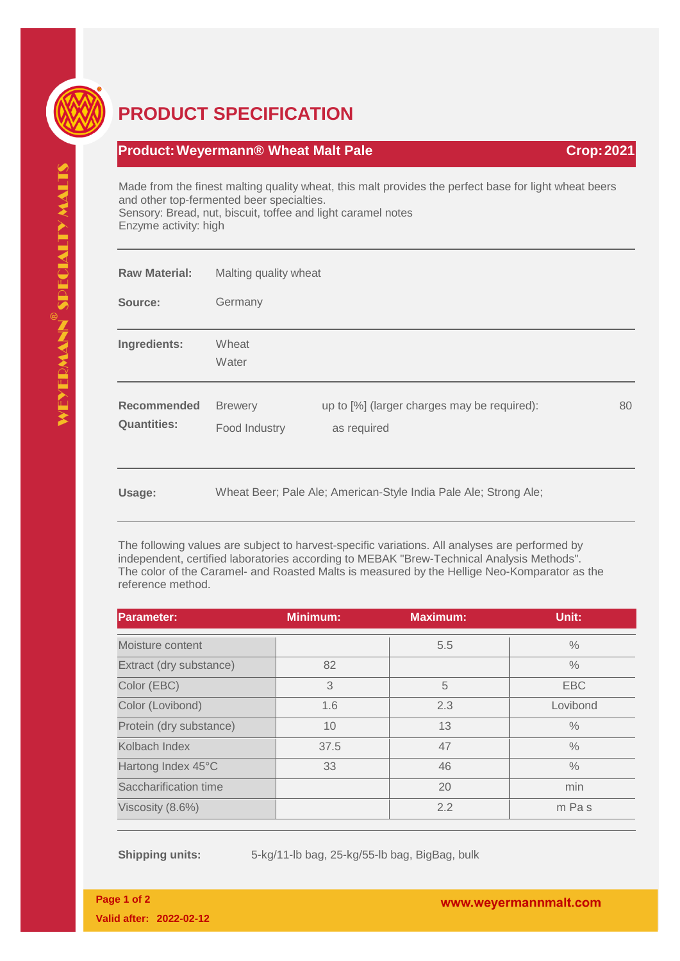

## **PRODUCT SPECIFICATION**

## **Product:Weyermann® Wheat Malt Pale Crop:2021**

Made from the finest malting quality wheat, this malt provides the perfect base for light wheat beers and other top-fermented beer specialties. Sensory: Bread, nut, biscuit, toffee and light caramel notes Enzyme activity: high

| <b>Raw Material:</b>              | Malting quality wheat           |                                                                  |    |
|-----------------------------------|---------------------------------|------------------------------------------------------------------|----|
| Source:                           | Germany                         |                                                                  |    |
| Ingredients:                      | Wheat<br>Water                  |                                                                  |    |
| Recommended<br><b>Quantities:</b> | <b>Brewery</b><br>Food Industry | up to [%] (larger charges may be required):<br>as required       | 80 |
| Usage:                            |                                 | Wheat Beer; Pale Ale; American-Style India Pale Ale; Strong Ale; |    |

The following values are subject to harvest-specific variations. All analyses are performed by independent, certified laboratories according to MEBAK "Brew-Technical Analysis Methods". The color of the Caramel- and Roasted Malts is measured by the Hellige Neo-Komparator as the reference method.

| <b>Parameter:</b>       | <b>Minimum:</b> | <b>Maximum:</b> | Unit:         |
|-------------------------|-----------------|-----------------|---------------|
| Moisture content        |                 | 5.5             | $\%$          |
| Extract (dry substance) | 82              |                 | $\%$          |
| Color (EBC)             | 3               | 5               | <b>EBC</b>    |
| Color (Lovibond)        | 1.6             | 2.3             | Lovibond      |
| Protein (dry substance) | 10              | 13              | $\%$          |
| Kolbach Index           | 37.5            | 47              | $\%$          |
| Hartong Index 45°C      | 33              | 46              | $\frac{0}{0}$ |
| Saccharification time   |                 | 20              | min           |
| Viscosity (8.6%)        |                 | 2.2             | m Pas         |

**Shipping units:** 5-kg/11-lb bag, 25-kg/55-lb bag, BigBag, bulk